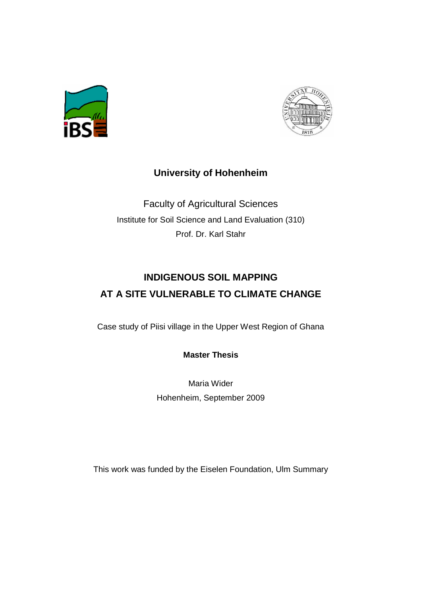



## **University of Hohenheim**

Faculty of Agricultural Sciences Institute for Soil Science and Land Evaluation (310) Prof. Dr. Karl Stahr

## **INDIGENOUS SOIL MAPPING AT A SITE VULNERABLE TO CLIMATE CHANGE**

Case study of Piisi village in the Upper West Region of Ghana

**Master Thesis** 

Maria Wider Hohenheim, September 2009

This work was funded by the Eiselen Foundation, Ulm Summary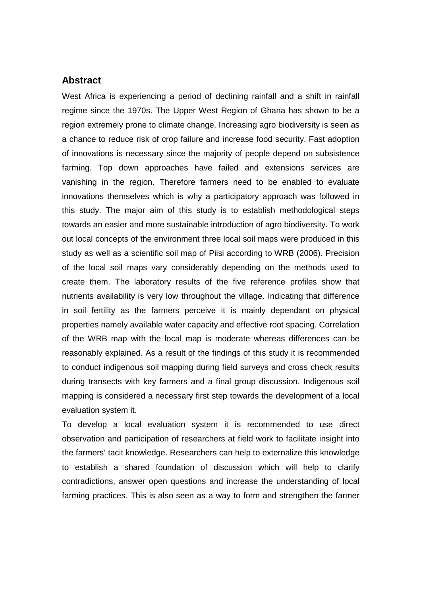## **Abstract**

West Africa is experiencing a period of declining rainfall and a shift in rainfall regime since the 1970s. The Upper West Region of Ghana has shown to be a region extremely prone to climate change. Increasing agro biodiversity is seen as a chance to reduce risk of crop failure and increase food security. Fast adoption of innovations is necessary since the majority of people depend on subsistence farming. Top down approaches have failed and extensions services are vanishing in the region. Therefore farmers need to be enabled to evaluate innovations themselves which is why a participatory approach was followed in this study. The major aim of this study is to establish methodological steps towards an easier and more sustainable introduction of agro biodiversity. To work out local concepts of the environment three local soil maps were produced in this study as well as a scientific soil map of Piisi according to WRB (2006). Precision of the local soil maps vary considerably depending on the methods used to create them. The laboratory results of the five reference profiles show that nutrients availability is very low throughout the village. Indicating that difference in soil fertility as the farmers perceive it is mainly dependant on physical properties namely available water capacity and effective root spacing. Correlation of the WRB map with the local map is moderate whereas differences can be reasonably explained. As a result of the findings of this study it is recommended to conduct indigenous soil mapping during field surveys and cross check results during transects with key farmers and a final group discussion. Indigenous soil mapping is considered a necessary first step towards the development of a local evaluation system it.

To develop a local evaluation system it is recommended to use direct observation and participation of researchers at field work to facilitate insight into the farmers' tacit knowledge. Researchers can help to externalize this knowledge to establish a shared foundation of discussion which will help to clarify contradictions, answer open questions and increase the understanding of local farming practices. This is also seen as a way to form and strengthen the farmer